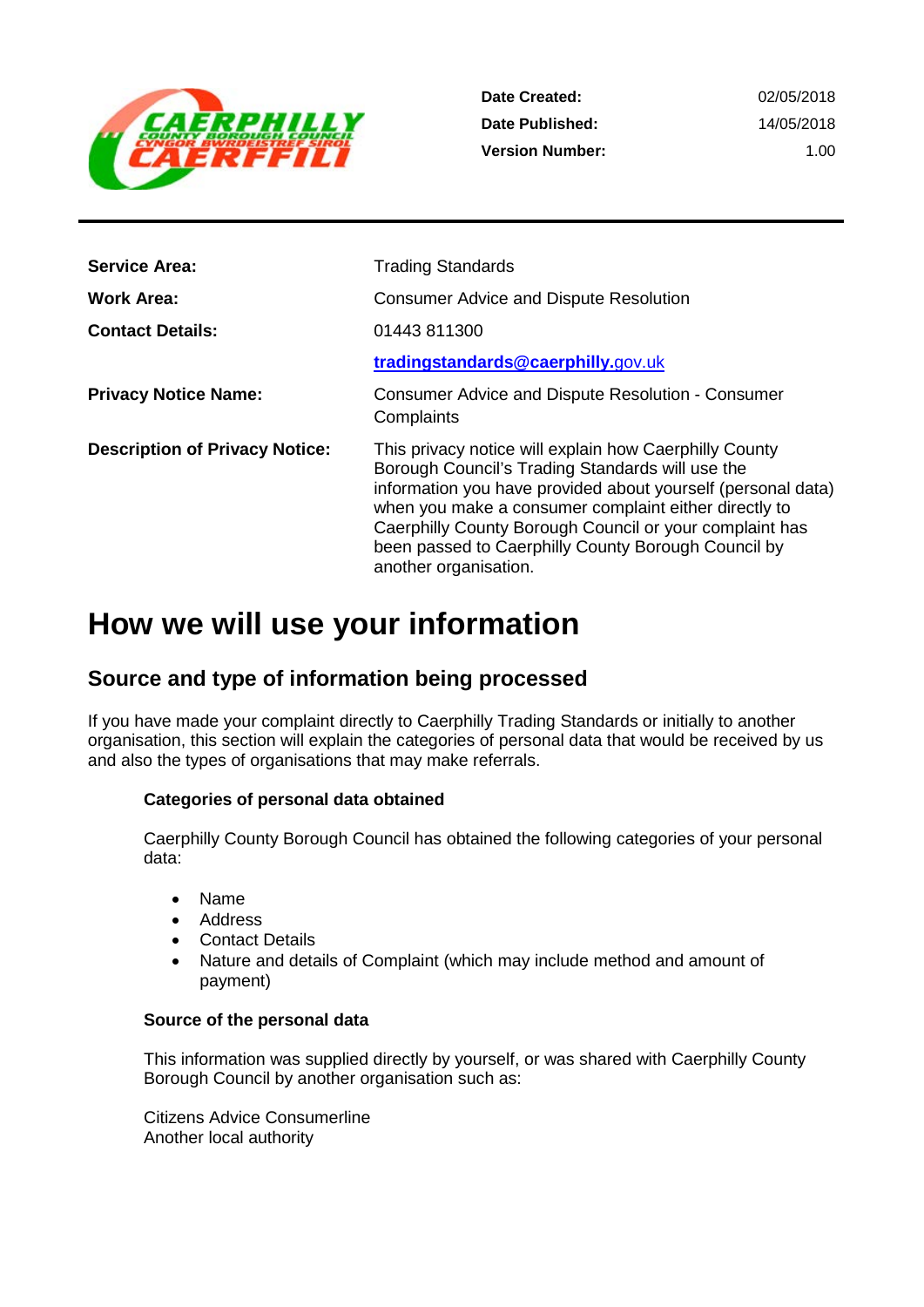

**Date Created: Date Published: Version Number:**

02/05/2018 14/05/2018 1.00

| <b>Service Area:</b>                  | <b>Trading Standards</b>                                                                                                                                                                                                                                                                                                                                                       |
|---------------------------------------|--------------------------------------------------------------------------------------------------------------------------------------------------------------------------------------------------------------------------------------------------------------------------------------------------------------------------------------------------------------------------------|
| Work Area:                            | <b>Consumer Advice and Dispute Resolution</b>                                                                                                                                                                                                                                                                                                                                  |
| <b>Contact Details:</b>               | 01443 811300                                                                                                                                                                                                                                                                                                                                                                   |
|                                       | tradingstandards@caerphilly.gov.uk                                                                                                                                                                                                                                                                                                                                             |
| <b>Privacy Notice Name:</b>           | Consumer Advice and Dispute Resolution - Consumer<br>Complaints                                                                                                                                                                                                                                                                                                                |
| <b>Description of Privacy Notice:</b> | This privacy notice will explain how Caerphilly County<br>Borough Council's Trading Standards will use the<br>information you have provided about yourself (personal data)<br>when you make a consumer complaint either directly to<br>Caerphilly County Borough Council or your complaint has<br>been passed to Caerphilly County Borough Council by<br>another organisation. |

# **How we will use your information**

# **Source and type of information being processed**

If you have made your complaint directly to Caerphilly Trading Standards or initially to another organisation, this section will explain the categories of personal data that would be received by us and also the types of organisations that may make referrals.

#### **Categories of personal data obtained**

Caerphilly County Borough Council has obtained the following categories of your personal data:

- Name
- Address
- **Contact Details**
- Nature and details of Complaint (which may include method and amount of payment)

#### **Source of the personal data**

This information was supplied directly by yourself, or was shared with Caerphilly County Borough Council by another organisation such as:

Citizens Advice Consumerline Another local authority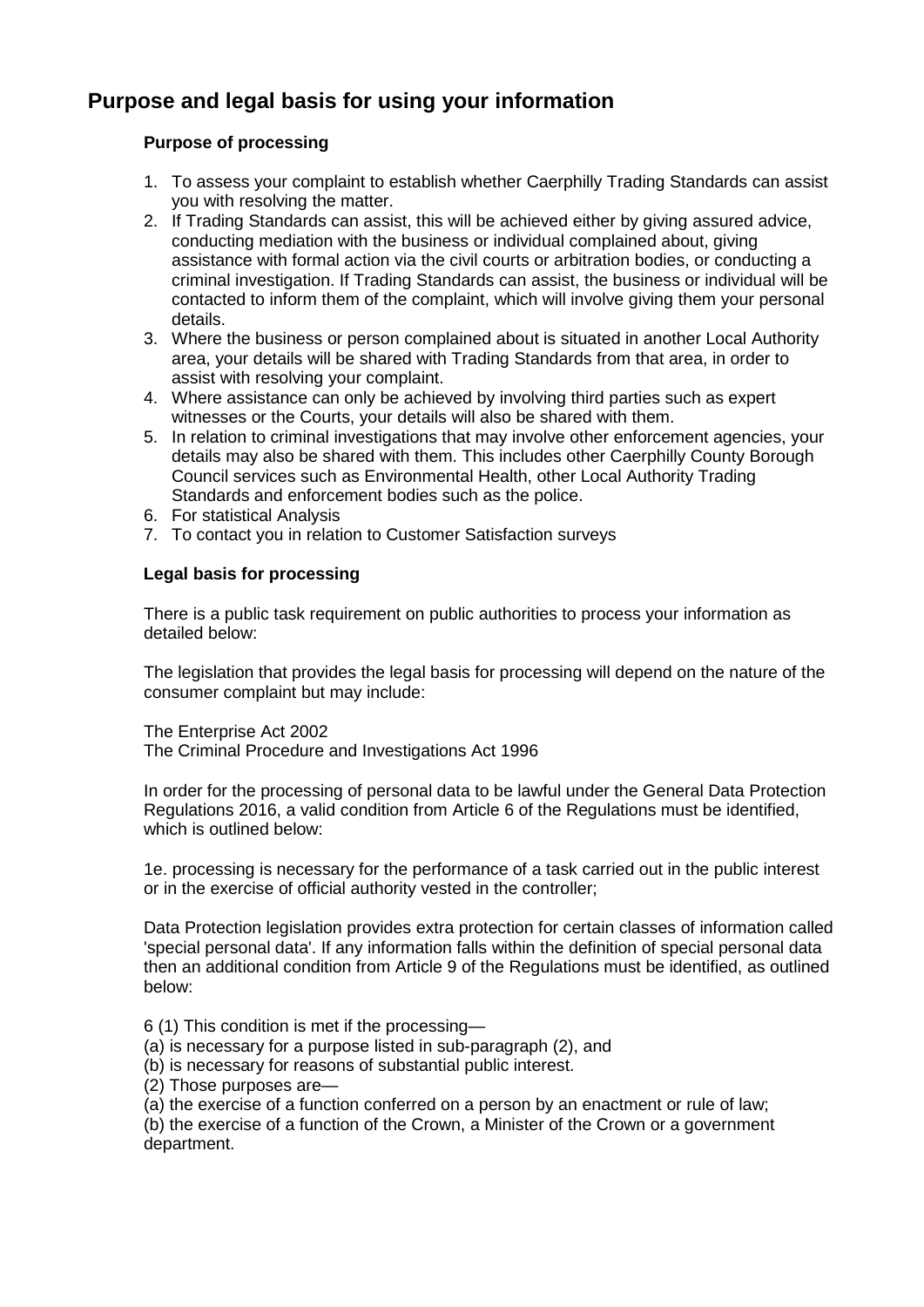# **Purpose and legal basis for using your information**

#### **Purpose of processing**

- 1. To assess your complaint to establish whether Caerphilly Trading Standards can assist you with resolving the matter.
- 2. If Trading Standards can assist, this will be achieved either by giving assured advice, conducting mediation with the business or individual complained about, giving assistance with formal action via the civil courts or arbitration bodies, or conducting a criminal investigation. If Trading Standards can assist, the business or individual will be contacted to inform them of the complaint, which will involve giving them your personal details.
- 3. Where the business or person complained about is situated in another Local Authority area, your details will be shared with Trading Standards from that area, in order to assist with resolving your complaint.
- 4. Where assistance can only be achieved by involving third parties such as expert witnesses or the Courts, your details will also be shared with them.
- 5. In relation to criminal investigations that may involve other enforcement agencies, your details may also be shared with them. This includes other Caerphilly County Borough Council services such as Environmental Health, other Local Authority Trading Standards and enforcement bodies such as the police.
- 6. For statistical Analysis
- 7. To contact you in relation to Customer Satisfaction surveys

#### **Legal basis for processing**

There is a public task requirement on public authorities to process your information as detailed below:

The legislation that provides the legal basis for processing will depend on the nature of the consumer complaint but may include:

The Enterprise Act 2002

The Criminal Procedure and Investigations Act 1996

In order for the processing of personal data to be lawful under the General Data Protection Regulations 2016, a valid condition from Article 6 of the Regulations must be identified, which is outlined below:

1e. processing is necessary for the performance of a task carried out in the public interest or in the exercise of official authority vested in the controller;

Data Protection legislation provides extra protection for certain classes of information called 'special personal data'. If any information falls within the definition of special personal data then an additional condition from Article 9 of the Regulations must be identified, as outlined below:

- 6 (1) This condition is met if the processing—
- (a) is necessary for a purpose listed in sub-paragraph (2), and
- (b) is necessary for reasons of substantial public interest.
- (2) Those purposes are—
- (a) the exercise of a function conferred on a person by an enactment or rule of law;

(b) the exercise of a function of the Crown, a Minister of the Crown or a government department.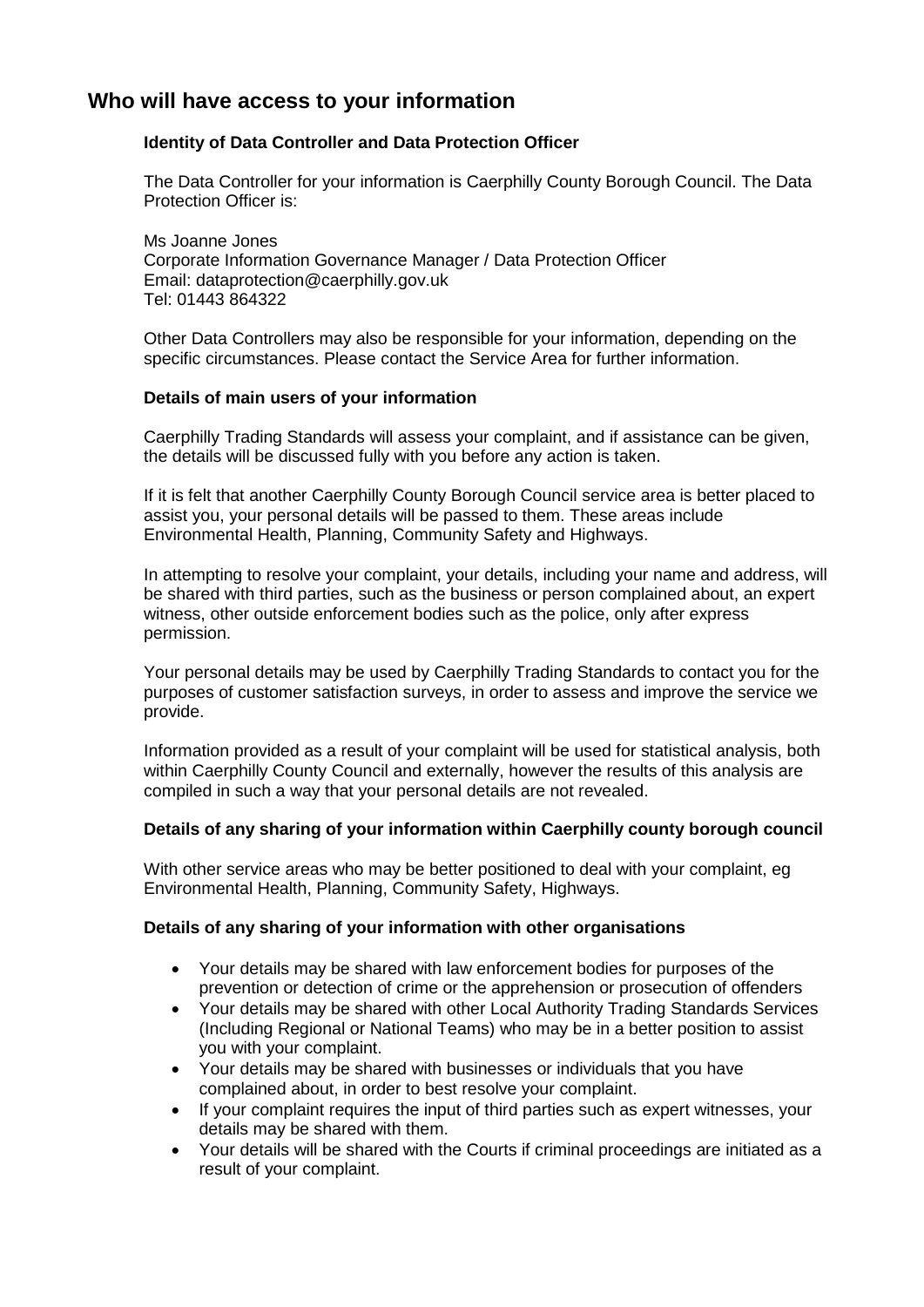# **Who will have access to your information**

#### **Identity of Data Controller and Data Protection Officer**

The Data Controller for your information is Caerphilly County Borough Council. The Data Protection Officer is:

Ms Joanne Jones Corporate Information Governance Manager / Data Protection Officer Email: dataprotection@caerphilly.gov.uk Tel: 01443 864322

Other Data Controllers may also be responsible for your information, depending on the specific circumstances. Please contact the Service Area for further information.

#### **Details of main users of your information**

Caerphilly Trading Standards will assess your complaint, and if assistance can be given, the details will be discussed fully with you before any action is taken.

If it is felt that another Caerphilly County Borough Council service area is better placed to assist you, your personal details will be passed to them. These areas include Environmental Health, Planning, Community Safety and Highways.

In attempting to resolve your complaint, your details, including your name and address, will be shared with third parties, such as the business or person complained about, an expert witness, other outside enforcement bodies such as the police, only after express permission.

Your personal details may be used by Caerphilly Trading Standards to contact you for the purposes of customer satisfaction surveys, in order to assess and improve the service we provide.

Information provided as a result of your complaint will be used for statistical analysis, both within Caerphilly County Council and externally, however the results of this analysis are compiled in such a way that your personal details are not revealed.

#### **Details of any sharing of your information within Caerphilly county borough council**

With other service areas who may be better positioned to deal with your complaint, eq Environmental Health, Planning, Community Safety, Highways.

#### **Details of any sharing of your information with other organisations**

- Your details may be shared with law enforcement bodies for purposes of the prevention or detection of crime or the apprehension or prosecution of offenders
- Your details may be shared with other Local Authority Trading Standards Services (Including Regional or National Teams) who may be in a better position to assist you with your complaint.
- Your details may be shared with businesses or individuals that you have complained about, in order to best resolve your complaint.
- If your complaint requires the input of third parties such as expert witnesses, your details may be shared with them.
- Your details will be shared with the Courts if criminal proceedings are initiated as a result of your complaint.